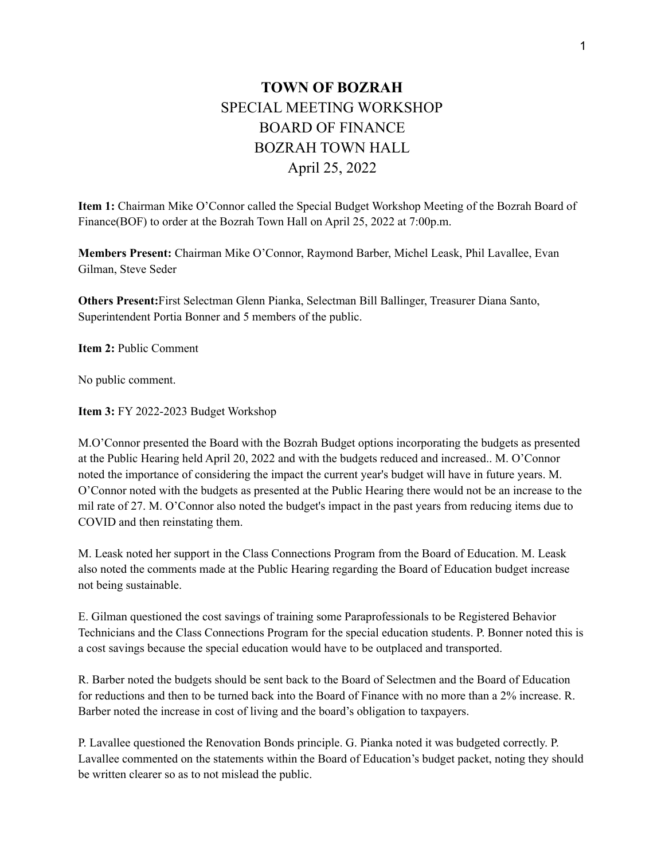## **TOWN OF BOZRAH** SPECIAL MEETING WORKSHOP BOARD OF FINANCE BOZRAH TOWN HALL April 25, 2022

**Item 1:** Chairman Mike O'Connor called the Special Budget Workshop Meeting of the Bozrah Board of Finance(BOF) to order at the Bozrah Town Hall on April 25, 2022 at 7:00p.m.

**Members Present:** Chairman Mike O'Connor, Raymond Barber, Michel Leask, Phil Lavallee, Evan Gilman, Steve Seder

**Others Present:**First Selectman Glenn Pianka, Selectman Bill Ballinger, Treasurer Diana Santo, Superintendent Portia Bonner and 5 members of the public.

**Item 2:** Public Comment

No public comment.

**Item 3:** FY 2022-2023 Budget Workshop

M.O'Connor presented the Board with the Bozrah Budget options incorporating the budgets as presented at the Public Hearing held April 20, 2022 and with the budgets reduced and increased.. M. O'Connor noted the importance of considering the impact the current year's budget will have in future years. M. O'Connor noted with the budgets as presented at the Public Hearing there would not be an increase to the mil rate of 27. M. O'Connor also noted the budget's impact in the past years from reducing items due to COVID and then reinstating them.

M. Leask noted her support in the Class Connections Program from the Board of Education. M. Leask also noted the comments made at the Public Hearing regarding the Board of Education budget increase not being sustainable.

E. Gilman questioned the cost savings of training some Paraprofessionals to be Registered Behavior Technicians and the Class Connections Program for the special education students. P. Bonner noted this is a cost savings because the special education would have to be outplaced and transported.

R. Barber noted the budgets should be sent back to the Board of Selectmen and the Board of Education for reductions and then to be turned back into the Board of Finance with no more than a 2% increase. R. Barber noted the increase in cost of living and the board's obligation to taxpayers.

P. Lavallee questioned the Renovation Bonds principle. G. Pianka noted it was budgeted correctly. P. Lavallee commented on the statements within the Board of Education's budget packet, noting they should be written clearer so as to not mislead the public.